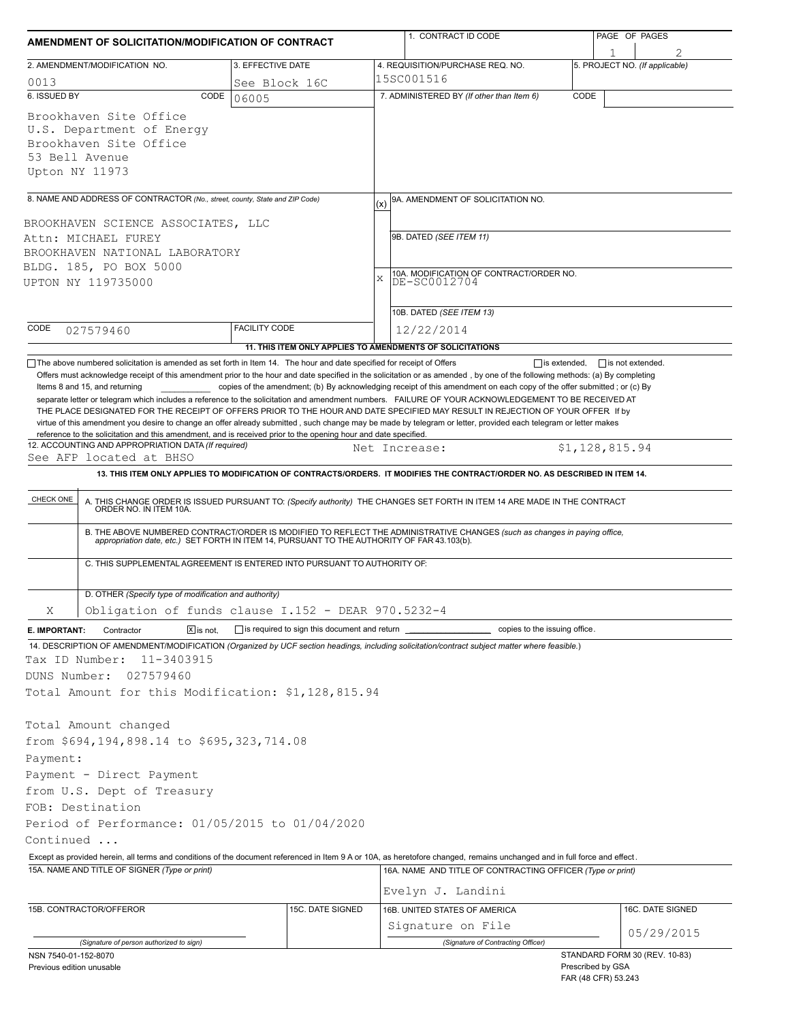| AMENDMENT OF SOLICITATION/MODIFICATION OF CONTRACT                                                                                                                                                                                                                                                                                                                                                                                                                                                      |                      | 1. CONTRACT ID CODE |                                                                                                                                                                                                                       | PAGE OF PAGES                            |                                |  |  |  |
|---------------------------------------------------------------------------------------------------------------------------------------------------------------------------------------------------------------------------------------------------------------------------------------------------------------------------------------------------------------------------------------------------------------------------------------------------------------------------------------------------------|----------------------|---------------------|-----------------------------------------------------------------------------------------------------------------------------------------------------------------------------------------------------------------------|------------------------------------------|--------------------------------|--|--|--|
| 2. AMENDMENT/MODIFICATION NO.                                                                                                                                                                                                                                                                                                                                                                                                                                                                           | 3. EFFECTIVE DATE    |                     | 4. REQUISITION/PURCHASE REQ. NO.                                                                                                                                                                                      |                                          | 5. PROJECT NO. (If applicable) |  |  |  |
| 0013                                                                                                                                                                                                                                                                                                                                                                                                                                                                                                    | See Block 16C        |                     | 15SC001516                                                                                                                                                                                                            |                                          |                                |  |  |  |
| 6. ISSUED BY                                                                                                                                                                                                                                                                                                                                                                                                                                                                                            | CODE<br>06005        |                     | 7. ADMINISTERED BY (If other than Item 6)                                                                                                                                                                             | CODE                                     |                                |  |  |  |
| Brookhaven Site Office<br>U.S. Department of Energy<br>Brookhaven Site Office<br>53 Bell Avenue<br>Upton NY 11973                                                                                                                                                                                                                                                                                                                                                                                       |                      |                     |                                                                                                                                                                                                                       |                                          |                                |  |  |  |
| 8. NAME AND ADDRESS OF CONTRACTOR (No., street, county, State and ZIP Code)                                                                                                                                                                                                                                                                                                                                                                                                                             |                      | (x)                 | 9A. AMENDMENT OF SOLICITATION NO.                                                                                                                                                                                     |                                          |                                |  |  |  |
| BROOKHAVEN SCIENCE ASSOCIATES, LLC                                                                                                                                                                                                                                                                                                                                                                                                                                                                      |                      |                     |                                                                                                                                                                                                                       |                                          |                                |  |  |  |
| Attn: MICHAEL FUREY                                                                                                                                                                                                                                                                                                                                                                                                                                                                                     |                      |                     | 9B. DATED (SEE ITEM 11)                                                                                                                                                                                               |                                          |                                |  |  |  |
| BROOKHAVEN NATIONAL LABORATORY                                                                                                                                                                                                                                                                                                                                                                                                                                                                          |                      |                     |                                                                                                                                                                                                                       |                                          |                                |  |  |  |
| BLDG. 185, PO BOX 5000                                                                                                                                                                                                                                                                                                                                                                                                                                                                                  |                      |                     |                                                                                                                                                                                                                       |                                          |                                |  |  |  |
| UPTON NY 119735000                                                                                                                                                                                                                                                                                                                                                                                                                                                                                      |                      | X                   | 10A. MODIFICATION OF CONTRACT/ORDER NO.<br>DE-SC0012704                                                                                                                                                               |                                          |                                |  |  |  |
|                                                                                                                                                                                                                                                                                                                                                                                                                                                                                                         |                      |                     |                                                                                                                                                                                                                       |                                          |                                |  |  |  |
|                                                                                                                                                                                                                                                                                                                                                                                                                                                                                                         |                      |                     | 10B. DATED (SEE ITEM 13)                                                                                                                                                                                              |                                          |                                |  |  |  |
| CODE<br>027579460                                                                                                                                                                                                                                                                                                                                                                                                                                                                                       | <b>FACILITY CODE</b> |                     | 12/22/2014                                                                                                                                                                                                            |                                          |                                |  |  |  |
|                                                                                                                                                                                                                                                                                                                                                                                                                                                                                                         |                      |                     | 11. THIS ITEM ONLY APPLIES TO AMENDMENTS OF SOLICITATIONS                                                                                                                                                             |                                          |                                |  |  |  |
| THE PLACE DESIGNATED FOR THE RECEIPT OF OFFERS PRIOR TO THE HOUR AND DATE SPECIFIED MAY RESULT IN REJECTION OF YOUR OFFER If by<br>virtue of this amendment you desire to change an offer already submitted, such change may be made by telegram or letter, provided each telegram or letter makes<br>reference to the solicitation and this amendment, and is received prior to the opening hour and date specified.<br>12. ACCOUNTING AND APPROPRIATION DATA (If required)<br>See AFP located at BHSO |                      |                     | Net Increase:<br>13. THIS ITEM ONLY APPLIES TO MODIFICATION OF CONTRACTS/ORDERS. IT MODIFIES THE CONTRACT/ORDER NO. AS DESCRIBED IN ITEM 14.                                                                          | \$1,128,815.94                           |                                |  |  |  |
|                                                                                                                                                                                                                                                                                                                                                                                                                                                                                                         |                      |                     |                                                                                                                                                                                                                       |                                          |                                |  |  |  |
| CHECK ONE                                                                                                                                                                                                                                                                                                                                                                                                                                                                                               |                      |                     | A. THIS CHANGE ORDER IS ISSUED PURSUANT TO: (Specify authority) THE CHANGES SET FORTH IN ITEM 14 ARE MADE IN THE CONTRACT ORDER NO. IN ITEM 10A.                                                                      |                                          |                                |  |  |  |
|                                                                                                                                                                                                                                                                                                                                                                                                                                                                                                         |                      |                     | B. THE ABOVE NUMBERED CONTRACT/ORDER IS MODIFIED TO REFLECT THE ADMINISTRATIVE CHANGES (such as changes in paying office, appropriation date, etc.) SET FORTH IN ITEM 14, PURSUANT TO THE AUTHORITY OF FAR 43.103(b). |                                          |                                |  |  |  |
| C. THIS SUPPLEMENTAL AGREEMENT IS ENTERED INTO PURSUANT TO AUTHORITY OF:                                                                                                                                                                                                                                                                                                                                                                                                                                |                      |                     |                                                                                                                                                                                                                       |                                          |                                |  |  |  |
| D. OTHER (Specify type of modification and authority)                                                                                                                                                                                                                                                                                                                                                                                                                                                   |                      |                     |                                                                                                                                                                                                                       |                                          |                                |  |  |  |
| Obligation of funds clause I.152 - DEAR 970.5232-4<br>Χ                                                                                                                                                                                                                                                                                                                                                                                                                                                 |                      |                     |                                                                                                                                                                                                                       |                                          |                                |  |  |  |
| Contractor<br>$\overline{X}$ is not.<br>E. IMPORTANT:                                                                                                                                                                                                                                                                                                                                                                                                                                                   |                      |                     | is required to sign this document and return ___________________________ copies to the issuing office.                                                                                                                |                                          |                                |  |  |  |
| 14. DESCRIPTION OF AMENDMENT/MODIFICATION (Organized by UCF section headings, including solicitation/contract subject matter where feasible.)                                                                                                                                                                                                                                                                                                                                                           |                      |                     |                                                                                                                                                                                                                       |                                          |                                |  |  |  |
| Tax ID Number:<br>11-3403915                                                                                                                                                                                                                                                                                                                                                                                                                                                                            |                      |                     |                                                                                                                                                                                                                       |                                          |                                |  |  |  |
| DUNS Number:<br>027579460                                                                                                                                                                                                                                                                                                                                                                                                                                                                               |                      |                     |                                                                                                                                                                                                                       |                                          |                                |  |  |  |
| Total Amount for this Modification: \$1,128,815.94                                                                                                                                                                                                                                                                                                                                                                                                                                                      |                      |                     |                                                                                                                                                                                                                       |                                          |                                |  |  |  |
|                                                                                                                                                                                                                                                                                                                                                                                                                                                                                                         |                      |                     |                                                                                                                                                                                                                       |                                          |                                |  |  |  |
| Total Amount changed                                                                                                                                                                                                                                                                                                                                                                                                                                                                                    |                      |                     |                                                                                                                                                                                                                       |                                          |                                |  |  |  |
| from \$694,194,898.14 to \$695,323,714.08                                                                                                                                                                                                                                                                                                                                                                                                                                                               |                      |                     |                                                                                                                                                                                                                       |                                          |                                |  |  |  |
| Payment:                                                                                                                                                                                                                                                                                                                                                                                                                                                                                                |                      |                     |                                                                                                                                                                                                                       |                                          |                                |  |  |  |
| Payment - Direct Payment                                                                                                                                                                                                                                                                                                                                                                                                                                                                                |                      |                     |                                                                                                                                                                                                                       |                                          |                                |  |  |  |
| from U.S. Dept of Treasury                                                                                                                                                                                                                                                                                                                                                                                                                                                                              |                      |                     |                                                                                                                                                                                                                       |                                          |                                |  |  |  |
| FOB: Destination                                                                                                                                                                                                                                                                                                                                                                                                                                                                                        |                      |                     |                                                                                                                                                                                                                       |                                          |                                |  |  |  |
| Period of Performance: 01/05/2015 to 01/04/2020                                                                                                                                                                                                                                                                                                                                                                                                                                                         |                      |                     |                                                                                                                                                                                                                       |                                          |                                |  |  |  |
| Continued                                                                                                                                                                                                                                                                                                                                                                                                                                                                                               |                      |                     |                                                                                                                                                                                                                       |                                          |                                |  |  |  |
| Except as provided herein, all terms and conditions of the document referenced in Item 9 A or 10A, as heretofore changed, remains unchanged and in full force and effect.<br>15A. NAME AND TITLE OF SIGNER (Type or print)                                                                                                                                                                                                                                                                              |                      |                     |                                                                                                                                                                                                                       |                                          |                                |  |  |  |
|                                                                                                                                                                                                                                                                                                                                                                                                                                                                                                         |                      |                     | 16A. NAME AND TITLE OF CONTRACTING OFFICER (Type or print)                                                                                                                                                            |                                          |                                |  |  |  |
|                                                                                                                                                                                                                                                                                                                                                                                                                                                                                                         |                      |                     | Evelyn J. Landini                                                                                                                                                                                                     |                                          |                                |  |  |  |
| 15B. CONTRACTOR/OFFEROR                                                                                                                                                                                                                                                                                                                                                                                                                                                                                 |                      | 15C. DATE SIGNED    | 16B. UNITED STATES OF AMERICA                                                                                                                                                                                         |                                          | 16C. DATE SIGNED               |  |  |  |
|                                                                                                                                                                                                                                                                                                                                                                                                                                                                                                         |                      |                     | Signature on File                                                                                                                                                                                                     |                                          | 05/29/2015                     |  |  |  |
| (Signature of person authorized to sign)                                                                                                                                                                                                                                                                                                                                                                                                                                                                |                      |                     | (Signature of Contracting Officer)                                                                                                                                                                                    |                                          |                                |  |  |  |
| NSN 7540-01-152-8070<br>Previous edition unusable                                                                                                                                                                                                                                                                                                                                                                                                                                                       |                      |                     |                                                                                                                                                                                                                       | Prescribed by GSA<br>FAR (48 CFR) 53.243 | STANDARD FORM 30 (REV. 10-83)  |  |  |  |